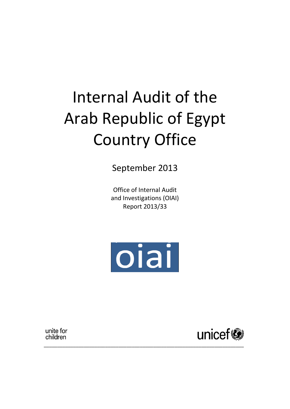# Internal Audit of the Arab Republic of Egypt Country Office

September 2013

Office of Internal Audit and Investigations (OIAI) Report 2013/33



\_\_\_\_\_\_\_\_\_\_\_\_\_\_\_\_\_\_\_\_\_\_\_\_\_\_\_\_\_\_\_\_\_\_\_\_\_\_\_\_\_\_\_\_\_\_\_\_\_\_\_\_\_\_\_\_\_\_\_\_\_\_\_\_\_\_\_\_\_\_\_\_\_\_\_

unite for children

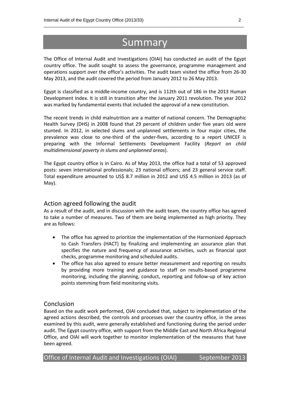# **Summary**

\_\_\_\_\_\_\_\_\_\_\_\_\_\_\_\_\_\_\_\_\_\_\_\_\_\_\_\_\_\_\_\_\_\_\_\_\_\_\_\_\_\_\_\_\_\_\_\_\_\_\_\_\_\_\_\_\_\_\_\_\_\_\_\_\_\_\_\_\_\_\_\_\_\_\_\_\_\_\_\_\_\_

The Office of Internal Audit and Investigations (OIAI) has conducted an audit of the Egypt country office. The audit sought to assess the governance, programme management and operations support over the office's activities. The audit team visited the office from 26-30 May 2013, and the audit covered the period from January 2012 to 26 May 2013.

Egypt is classified as a middle-income country, and is 112th out of 186 in the 2013 Human Development Index. It is still in transition after the January 2011 revolution. The year 2012 was marked by fundamental events that included the approval of a new constitution.

The recent trends in child malnutrition are a matter of national concern. The Demographic Health Survey (DHS) in 2008 found that 29 percent of children under five years old were stunted. In 2012, in selected slums and unplanned settlements in four major cities, the prevalence was close to one-third of the under-fives, according to a report UNICEF is preparing with the Informal Settlements Development Facility (*Report on child multidimensional poverty in slums and unplanned areas*).

The Egypt country office is in Cairo. As of May 2013, the office had a total of 53 approved posts: seven international professionals; 23 national officers; and 23 general service staff. Total expenditure amounted to US\$ 8.7 million in 2012 and US\$ 4.5 million in 2013 (as of May).

# Action agreed following the audit

As a result of the audit, and in discussion with the audit team, the country office has agreed to take a number of measures. Two of them are being implemented as high priority. They are as follows:

- The office has agreed to prioritize the implementation of the Harmonized Approach to Cash Transfers (HACT) by finalizing and implementing an assurance plan that specifies the nature and frequency of assurance activities, such as financial spot checks, programme monitoring and scheduled audits.
- The office has also agreed to ensure better measurement and reporting on results by providing more training and guidance to staff on results-based programme monitoring, including the planning, conduct, reporting and follow-up of key action points stemming from field monitoring visits.

# Conclusion

Based on the audit work performed, OIAI concluded that, subject to implementation of the agreed actions described, the controls and processes over the country office, in the areas examined by this audit, were generally established and functioning during the period under audit. The Egypt country office, with support from the Middle East and North Africa Regional Office, and OIAI will work together to monitor implementation of the measures that have been agreed.

| Office of Internal Audit and Investigations (OIAI) |  | September 2013 |
|----------------------------------------------------|--|----------------|
|----------------------------------------------------|--|----------------|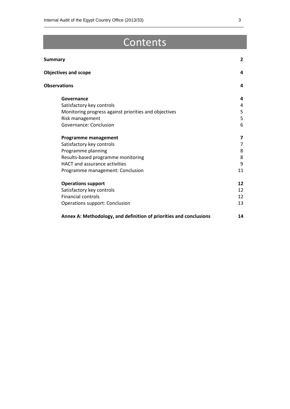# **Contents**

\_\_\_\_\_\_\_\_\_\_\_\_\_\_\_\_\_\_\_\_\_\_\_\_\_\_\_\_\_\_\_\_\_\_\_\_\_\_\_\_\_\_\_\_\_\_\_\_\_\_\_\_\_\_\_\_\_\_\_\_\_\_\_\_\_\_\_\_\_\_\_\_\_\_\_\_\_\_\_\_\_\_

| <b>Summary</b>                                                     | $\overline{2}$ |
|--------------------------------------------------------------------|----------------|
| <b>Objectives and scope</b>                                        | 4              |
| <b>Observations</b>                                                | 4              |
| Governance                                                         | 4              |
| Satisfactory key controls                                          | 4              |
| Monitoring progress against priorities and objectives              | 5              |
| Risk management                                                    | 5              |
| Governance: Conclusion                                             | 6              |
| Programme management                                               | 7              |
| Satisfactory key controls                                          | 7              |
| Programme planning                                                 | 8              |
| Results-based programme monitoring                                 | 8              |
| HACT and assurance activities                                      | 9              |
| Programme management: Conclusion                                   | 11             |
| <b>Operations support</b>                                          | 12             |
| Satisfactory key controls                                          | 12             |
| <b>Financial controls</b>                                          | 12             |
| <b>Operations support: Conclusion</b>                              | 13             |
| Annex A: Methodology, and definition of priorities and conclusions | 14             |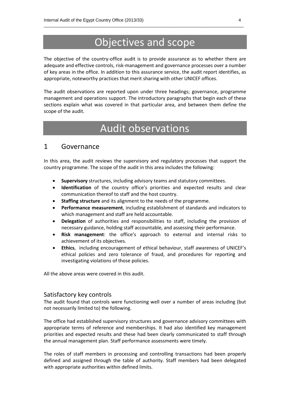# Objectives and scope

\_\_\_\_\_\_\_\_\_\_\_\_\_\_\_\_\_\_\_\_\_\_\_\_\_\_\_\_\_\_\_\_\_\_\_\_\_\_\_\_\_\_\_\_\_\_\_\_\_\_\_\_\_\_\_\_\_\_\_\_\_\_\_\_\_\_\_\_\_\_\_\_\_\_\_\_\_\_\_\_\_\_

The objective of the country-office audit is to provide assurance as to whether there are adequate and effective controls, risk-management and governance processes over a number of key areas in the office. In addition to this assurance service, the audit report identifies, as appropriate, noteworthy practices that merit sharing with other UNICEF offices.

The audit observations are reported upon under three headings; governance, programme management and operations support. The introductory paragraphs that begin each of these sections explain what was covered in that particular area, and between them define the scope of the audit.

# Audit observations

# 1 Governance

In this area, the audit reviews the supervisory and regulatory processes that support the country programme. The scope of the audit in this area includes the following*:*

- **Supervisory** structures, including advisory teams and statutory committees.
- **Identification** of the country office's priorities and expected results and clear communication thereof to staff and the host country.
- **Staffing structure** and its alignment to the needs of the programme.
- **Performance measurement**, including establishment of standards and indicators to which management and staff are held accountable.
- **Delegation** of authorities and responsibilities to staff, including the provision of necessary guidance, holding staff accountable, and assessing their performance.
- **Risk management**: the office's approach to external and internal risks to achievement of its objectives.
- **Ethics**, including encouragement of ethical behaviour, staff awareness of UNICEF's ethical policies and zero tolerance of fraud, and procedures for reporting and investigating violations of those policies.

All the above areas were covered in this audit.

# Satisfactory key controls

The audit found that controls were functioning well over a number of areas including (but not necessarily limited to) the following.

The office had established supervisory structures and governance advisory committees with appropriate terms of reference and memberships. It had also identified key management priorities and expected results and these had been clearly communicated to staff through the annual management plan. Staff performance assessments were timely.

The roles of staff members in processing and controlling transactions had been properly defined and assigned through the table of authority. Staff members had been delegated with appropriate authorities within defined limits.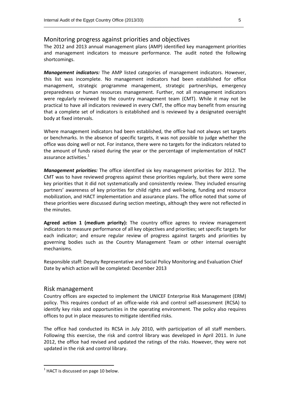### Monitoring progress against priorities and objectives

The 2012 and 2013 annual management plans (AMP) identified key management priorities and management indicators to measure performance. The audit noted the following shortcomings.

*Management indicators:* The AMP listed categories of management indicators. However, this list was incomplete. No management indicators had been established for office management, strategic programme management, strategic partnerships, emergency preparedness or human resources management. Further, not all management indicators were regularly reviewed by the country management team (CMT). While it may not be practical to have all indicators reviewed in every CMT, the office may benefit from ensuring that a complete set of indicators is established and is reviewed by a designated oversight body at fixed intervals.

Where management indicators had been established, the office had not always set targets or benchmarks. In the absence of specific targets, it was not possible to judge whether the office was doing well or not. For instance, there were no targets for the indicators related to the amount of funds raised during the year or the percentage of implementation of HACT assurance activities. 1

*Management priorities:* The office identified six key management priorities for 2012. The CMT was to have reviewed progress against these priorities regularly, but there were some key priorities that it did not systematically and consistently review. They included ensuring partners' awareness of key priorities for child rights and well-being, funding and resource mobilization, and HACT implementation and assurance plans. The office noted that some of these priorities were discussed during section meetings, although they were not reflected in the minutes.

**Agreed action 1 (medium priority):** The country office agrees to review management indicators to measure performance of all key objectives and priorities; set specific targets for each indicator; and ensure regular review of progress against targets and priorities by governing bodies such as the Country Management Team or other internal oversight mechanisms.

Responsible staff: Deputy Representative and Social Policy Monitoring and Evaluation Chief Date by which action will be completed: December 2013

### Risk management

Country offices are expected to implement the UNICEF Enterprise Risk Management (ERM) policy. This requires conduct of an office-wide risk and control self-assessment (RCSA) to identify key risks and opportunities in the operating environment. The policy also requires offices to put in place measures to mitigate identified risks.

The office had conducted its RCSA in July 2010, with participation of all staff members. Following this exercise, the risk and control library was developed in April 2011. In June 2012, the office had revised and updated the ratings of the risks. However, they were not updated in the risk and control library.

\_\_\_\_\_\_\_\_\_\_\_\_\_\_\_\_\_\_\_\_\_\_\_\_\_\_\_\_\_\_\_\_\_\_\_\_\_\_\_\_\_\_\_\_\_\_\_\_\_\_\_\_\_\_\_\_\_\_\_\_\_\_\_\_\_\_\_\_\_\_\_\_\_\_\_\_\_\_\_\_\_\_

 $1$  HACT is discussed on page 10 below.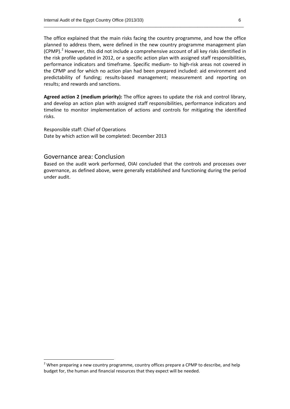The office explained that the main risks facing the country programme, and how the office planned to address them, were defined in the new country programme management plan  $(CPMP)<sup>2</sup>$  However, this did not include a comprehensive account of all key risks identified in the risk profile updated in 2012, or a specific action plan with assigned staff responsibilities, performance indicators and timeframe. Specific medium- to high-risk areas not covered in the CPMP and for which no action plan had been prepared included: aid environment and predictability of funding; results-based management; measurement and reporting on results; and rewards and sanctions.

\_\_\_\_\_\_\_\_\_\_\_\_\_\_\_\_\_\_\_\_\_\_\_\_\_\_\_\_\_\_\_\_\_\_\_\_\_\_\_\_\_\_\_\_\_\_\_\_\_\_\_\_\_\_\_\_\_\_\_\_\_\_\_\_\_\_\_\_\_\_\_\_\_\_\_\_\_\_\_\_\_\_

**Agreed action 2 (medium priority):** The office agrees to update the risk and control library, and develop an action plan with assigned staff responsibilities, performance indicators and timeline to monitor implementation of actions and controls for mitigating the identified risks.

Responsible staff: Chief of Operations Date by which action will be completed: December 2013

### Governance area: Conclusion

Based on the audit work performed, OIAI concluded that the controls and processes over governance, as defined above, were generally established and functioning during the period under audit.

 $2$  When preparing a new country programme, country offices prepare a CPMP to describe, and help budget for, the human and financial resources that they expect will be needed.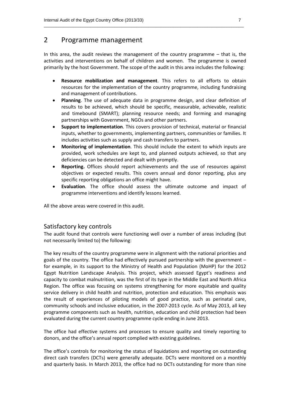# 2 Programme management

In this area, the audit reviews the management of the country programme – that is, the activities and interventions on behalf of children and women. The programme is owned primarily by the host Government. The scope of the audit in this area includes the following:

\_\_\_\_\_\_\_\_\_\_\_\_\_\_\_\_\_\_\_\_\_\_\_\_\_\_\_\_\_\_\_\_\_\_\_\_\_\_\_\_\_\_\_\_\_\_\_\_\_\_\_\_\_\_\_\_\_\_\_\_\_\_\_\_\_\_\_\_\_\_\_\_\_\_\_\_\_\_\_\_\_\_

- **Resource mobilization and management**. This refers to all efforts to obtain resources for the implementation of the country programme, including fundraising and management of contributions.
- **Planning**. The use of adequate data in programme design, and clear definition of results to be achieved, which should be specific, measurable, achievable, realistic and timebound (SMART); planning resource needs; and forming and managing partnerships with Government, NGOs and other partners.
- **Support to implementation**. This covers provision of technical, material or financial inputs, whether to governments, implementing partners, communities or families. It includes activities such as supply and cash transfers to partners.
- **Monitoring of implementation**. This should include the extent to which inputs are provided, work schedules are kept to, and planned outputs achieved, so that any deficiencies can be detected and dealt with promptly.
- **Reporting.** Offices should report achievements and the use of resources against objectives or expected results. This covers annual and donor reporting, plus any specific reporting obligations an office might have.
- **Evaluation**. The office should assess the ultimate outcome and impact of programme interventions and identify lessons learned.

All the above areas were covered in this audit.

# Satisfactory key controls

The audit found that controls were functioning well over a number of areas including (but not necessarily limited to) the following:

The key results of the country programme were in alignment with the national priorities and goals of the country. The office had effectively pursued partnership with the government – for example, in its support to the Ministry of Health and Population (MoHP) for the 2012 Egypt Nutrition Landscape Analysis. This project, which assessed Egypt's readiness and capacity to combat malnutrition, was the first of its type in the Middle East and North Africa Region. The office was focusing on systems strengthening for more equitable and quality service delivery in child health and nutrition, protection and education. This emphasis was the result of experiences of piloting models of good practice, such as perinatal care, community schools and inclusive education, in the 2007-2013 cycle. As of May 2013, all key programme components such as health, nutrition, education and child protection had been evaluated during the current country programme cycle ending in June 2013.

The office had effective systems and processes to ensure quality and timely reporting to donors, and the office's annual report complied with existing guidelines.

The office's controls for monitoring the status of liquidations and reporting on outstanding direct cash transfers (DCTs) were generally adequate. DCTs were monitored on a monthly and quarterly basis. In March 2013, the office had no DCTs outstanding for more than nine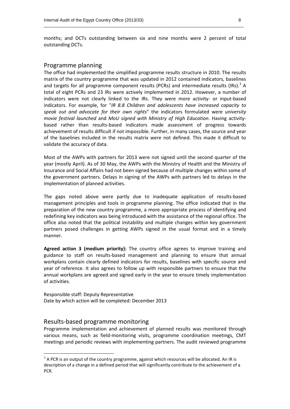months; and DCTs outstanding between six and nine months were 2 percent of total outstanding DCTs.

\_\_\_\_\_\_\_\_\_\_\_\_\_\_\_\_\_\_\_\_\_\_\_\_\_\_\_\_\_\_\_\_\_\_\_\_\_\_\_\_\_\_\_\_\_\_\_\_\_\_\_\_\_\_\_\_\_\_\_\_\_\_\_\_\_\_\_\_\_\_\_\_\_\_\_\_\_\_\_\_\_\_

#### Programme planning

The office had implemented the simplified programme results structure in 2010. The results matrix of the country programme that was updated in 2012 contained indicators, baselines and targets for all programme component results (PCRs) and intermediate results (IRs).<sup>3</sup> A total of eight PCRs and 23 IRs were actively implemented in 2012. However, a number of indicators were not clearly linked to the IRs. They were more activity- or input-based indicators. For example, for "*IR 8.8 Children and adolescents have increased capacity to speak out and advocate for their own rights*" the indicators formulated were *university movie festival launched* and *MoU signed with Ministry of High Education*. Having activitybased rather than results-based indicators made assessment of progress towards achievement of results difficult if not impossible. Further, in many cases, the source and year of the baselines included in the results matrix were not defined. This made it difficult to validate the accuracy of data.

Most of the AWPs with partners for 2013 were not signed until the second quarter of the year (mostly April). As of 30 May, the AWPs with the Ministry of Health and the Ministry of Insurance and Social Affairs had not been signed because of multiple changes within some of the government partners. Delays in signing of the AWPs with partners led to delays in the implementation of planned activities.

The gaps noted above were partly due to inadequate application of results-based management principles and tools in programme planning. The office indicated that in the preparation of the new country programme, a more appropriate process of identifying and redefining key indicators was being introduced with the assistance of the regional office. The office also noted that the political instability and multiple changes within key government partners posed challenges in getting AWPs signed in the usual format and in a timely manner.

**Agreed action 3 (medium priority):** The country office agrees to improve training and guidance to staff on results-based management and planning to ensure that annual workplans contain clearly defined indicators for results, baselines with specific source and year of reference. It also agrees to follow up with responsible partners to ensure that the annual workplans are agreed and signed early in the year to ensure timely implementation of activities.

Responsible staff: Deputy Representative Date by which action will be completed: December 2013

## Results-based programme monitoring

 $\overline{a}$ 

Programme implementation and achievement of planned results was monitored through various means, such as field-monitoring visits, programme coordination meetings, CMT meetings and periodic reviews with implementing partners. The audit reviewed programme

 $3$  A PCR is an output of the country programme, against which resources will be allocated. An IR is description of a change in a defined period that will significantly contribute to the achievement of a PCR.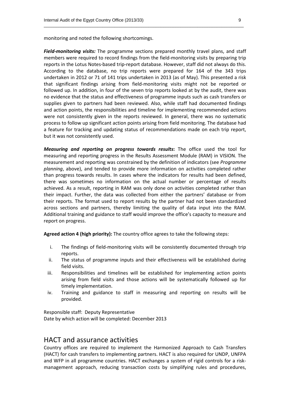monitoring and noted the following shortcomings.

*Field-monitoring visits:* The programme sections prepared monthly travel plans, and staff members were required to record findings from the field-monitoring visits by preparing trip reports in the Lotus Notes-based trip-report database. However, staff did not always do this. According to the database, no trip reports were prepared for 164 of the 343 trips undertaken in 2012 or 71 of 141 trips undertaken in 2013 (as of May). This presented a risk that significant findings arising from field-monitoring visits might not be reported or followed up. In addition, in four of the seven trip reports looked at by the audit, there was no evidence that the status and effectiveness of programme inputs such as cash transfers or supplies given to partners had been reviewed. Also, while staff had documented findings and action points, the responsibilities and timeline for implementing recommended actions were not consistently given in the reports reviewed. In general, there was no systematic process to follow up significant action points arising from field monitoring. The database had a feature for tracking and updating status of recommendations made on each trip report, but it was not consistently used.

\_\_\_\_\_\_\_\_\_\_\_\_\_\_\_\_\_\_\_\_\_\_\_\_\_\_\_\_\_\_\_\_\_\_\_\_\_\_\_\_\_\_\_\_\_\_\_\_\_\_\_\_\_\_\_\_\_\_\_\_\_\_\_\_\_\_\_\_\_\_\_\_\_\_\_\_\_\_\_\_\_\_

*Measuring and reporting on progress towards results***:** The office used the tool for measuring and reporting progress in the Results Assessment Module (RAM) in VISION. The measurement and reporting was constrained by the definition of indicators (see *Programme planning*, above), and tended to provide more information on activities completed rather than progress towards results. In cases where the indicators for results had been defined, there was sometimes no information on the actual number or percentage of results achieved. As a result, reporting in RAM was only done on activities completed rather than their impact. Further, the data was collected from either the partners' database or from their reports. The format used to report results by the partner had not been standardized across sections and partners, thereby limiting the quality of data input into the RAM. Additional training and guidance to staff would improve the office's capacity to measure and report on progress.

**Agreed action 4 (high priority):** The country office agrees to take the following steps:

- i. The findings of field-monitoring visits will be consistently documented through trip reports.
- ii. The status of programme inputs and their effectiveness will be established during field visits.
- iii. Responsibilities and timelines will be established for implementing action points arising from field visits and those actions will be systematically followed up for timely implementation.
- iv. Training and guidance to staff in measuring and reporting on results will be provided.

Responsible staff: Deputy Representative Date by which action will be completed: December 2013

# HACT and assurance activities

Country offices are required to implement the Harmonized Approach to Cash Transfers (HACT) for cash transfers to implementing partners. HACT is also required for UNDP, UNFPA and WFP in all programme countries. HACT exchanges a system of rigid controls for a riskmanagement approach, reducing transaction costs by simplifying rules and procedures,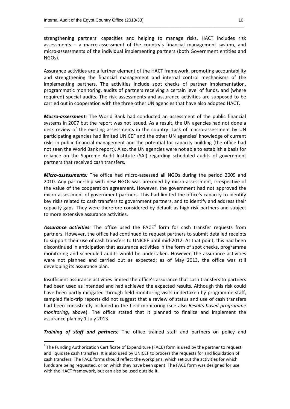strengthening partners' capacities and helping to manage risks. HACT includes risk assessments – a macro-assessment of the country's financial management system, and micro-assessments of the individual implementing partners (both Government entities and NGOs).

\_\_\_\_\_\_\_\_\_\_\_\_\_\_\_\_\_\_\_\_\_\_\_\_\_\_\_\_\_\_\_\_\_\_\_\_\_\_\_\_\_\_\_\_\_\_\_\_\_\_\_\_\_\_\_\_\_\_\_\_\_\_\_\_\_\_\_\_\_\_\_\_\_\_\_\_\_\_\_\_\_\_

Assurance activities are a further element of the HACT framework, promoting accountability and strengthening the financial management and internal control mechanisms of the implementing partners. The activities include spot checks of partner implementation, programmatic monitoring, audits of partners receiving a certain level of funds, and (where required) special audits. The risk assessments and assurance activities are supposed to be carried out in cooperation with the three other UN agencies that have also adopted HACT.

*Macro-assessment:* The World Bank had conducted an assessment of the public financial systems in 2007 but the report was not issued. As a result, the UN agencies had not done a desk review of the existing assessments in the country. Lack of macro-assessment by UN participating agencies had limited UNICEF and the other UN agencies' knowledge of current risks in public financial management and the potential for capacity building (the office had not seen the World Bank report). Also, the UN agencies were not able to establish a basis for reliance on the Supreme Audit Institute (SAI) regarding scheduled audits of government partners that received cash transfers.

*Micro-assessments:* The office had micro-assessed all NGOs during the period 2009 and 2010. Any partnership with new NGOs was preceded by micro-assessment, irrespective of the value of the cooperation agreement. However, the government had not approved the micro-assessment of government partners. This had limited the office's capacity to identify key risks related to cash transfers to government partners, and to identify and address their capacity gaps. They were therefore considered by default as high-risk partners and subject to more extensive assurance activities.

**Assurance activities**: The office used the FACE<sup>4</sup> form for cash transfer requests from partners. However, the office had continued to request partners to submit detailed receipts to support their use of cash transfers to UNICEF until mid-2012. At that point, this had been discontinued in anticipation that assurance activities in the form of spot checks, programme monitoring and scheduled audits would be undertaken. However, the assurance activities were not planned and carried out as expected; as of May 2013, the office was still developing its assurance plan.

Insufficient assurance activities limited the office's assurance that cash transfers to partners had been used as intended and had achieved the expected results. Although this risk could have been partly mitigated through field monitoring visits undertaken by programme staff, sampled field-trip reports did not suggest that a review of status and use of cash transfers had been consistently included in the field monitoring (see also *Results-based programme monitoring*, above). The office stated that it planned to finalize and implement the assurance plan by 1 July 2013.

*Training of staff and partners:* The office trained staff and partners on policy and

 $4$  The Funding Authorization Certificate of Expenditure (FACE) form is used by the partner to request and liquidate cash transfers. It is also used by UNICEF to process the requests for and liquidation of cash transfers. The FACE forms should reflect the workplans, which set out the activities for which funds are being requested, or on which they have been spent. The FACE form was designed for use with the HACT framework, but can also be used outside it.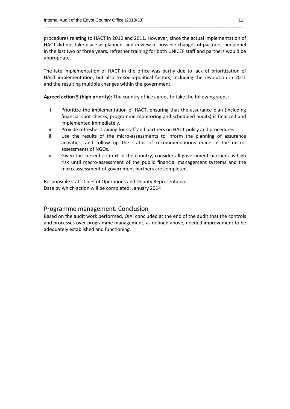procedures relating to HACT in 2010 and 2011. However, since the actual implementation of HACT did not take place as planned, and in view of possible changes of partners' personnel in the last two or three years, refresher training for both UNICEF staff and partners would be appropriate.

\_\_\_\_\_\_\_\_\_\_\_\_\_\_\_\_\_\_\_\_\_\_\_\_\_\_\_\_\_\_\_\_\_\_\_\_\_\_\_\_\_\_\_\_\_\_\_\_\_\_\_\_\_\_\_\_\_\_\_\_\_\_\_\_\_\_\_\_\_\_\_\_\_\_\_\_\_\_\_\_\_\_

The late implementation of HACT in the office was partly due to lack of prioritization of HACT implementation, but also to socio-political factors, including the revolution in 2011 and the resulting multiple changes within the government.

**Agreed action 5 (high priority):** The country office agrees to take the following steps:

- i. Prioritize the implementation of HACT, ensuring that the assurance plan (including financial spot checks, programme monitoring and scheduled audits) is finalized and implemented immediately.
- ii. Provide refresher training for staff and partners on HACT policy and procedures.
- iii. Use the results of the micro-assessments to inform the planning of assurance activities, and follow up the status of recommendations made in the microassessments of NGOs.
- iv. Given the current context in the country, consider all government partners as high risk until macro-assessment of the public financial management systems and the micro-assessment of government partners are completed.

Responsible staff: Chief of Operations and Deputy Representative Date by which action will be completed: January 2014

# Programme management: Conclusion

Based on the audit work performed, OIAI concluded at the end of the audit that the controls and processes over programme management, as defined above, needed improvement to be adequately established and functioning.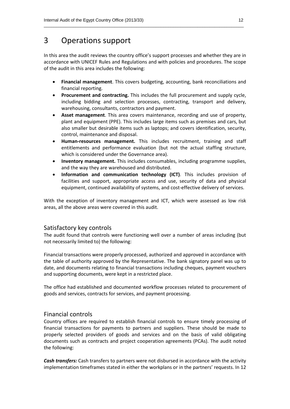# 3 Operations support

In this area the audit reviews the country office's support processes and whether they are in accordance with UNICEF Rules and Regulations and with policies and procedures. The scope of the audit in this area includes the following:

\_\_\_\_\_\_\_\_\_\_\_\_\_\_\_\_\_\_\_\_\_\_\_\_\_\_\_\_\_\_\_\_\_\_\_\_\_\_\_\_\_\_\_\_\_\_\_\_\_\_\_\_\_\_\_\_\_\_\_\_\_\_\_\_\_\_\_\_\_\_\_\_\_\_\_\_\_\_\_\_\_\_

- **Financial management**. This covers budgeting, accounting, bank reconciliations and financial reporting.
- **Procurement and contracting.** This includes the full procurement and supply cycle, including bidding and selection processes, contracting, transport and delivery, warehousing, consultants, contractors and payment.
- **Asset management**. This area covers maintenance, recording and use of property, plant and equipment (PPE). This includes large items such as premises and cars, but also smaller but desirable items such as laptops; and covers identification, security, control, maintenance and disposal.
- **Human-resources management.** This includes recruitment, training and staff entitlements and performance evaluation (but not the actual staffing structure, which is considered under the Governance area).
- **Inventory management.** This includes consumables, including programme supplies, and the way they are warehoused and distributed.
- **Information and communication technology (ICT)**. This includes provision of facilities and support, appropriate access and use, security of data and physical equipment, continued availability of systems, and cost-effective delivery of services.

With the exception of inventory management and ICT, which were assessed as low risk areas, all the above areas were covered in this audit.

# Satisfactory key controls

The audit found that controls were functioning well over a number of areas including (but not necessarily limited to) the following:

Financial transactions were properly processed, authorized and approved in accordance with the table of authority approved by the Representative. The bank signatory panel was up to date, and documents relating to financial transactions including cheques, payment vouchers and supporting documents, were kept in a restricted place.

The office had established and documented workflow processes related to procurement of goods and services, contracts for services, and payment processing.

# Financial controls

Country offices are required to establish financial controls to ensure timely processing of financial transactions for payments to partners and suppliers. These should be made to properly selected providers of goods and services and on the basis of valid obligating documents such as contracts and project cooperation agreements (PCAs). The audit noted the following:

*Cash transfers:* Cash transfers to partners were not disbursed in accordance with the activity implementation timeframes stated in either the workplans or in the partners' requests. In 12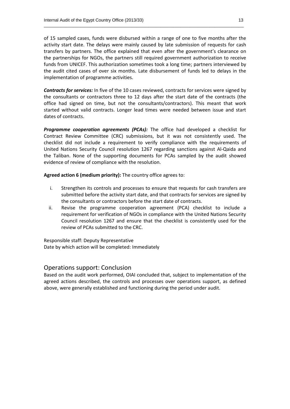of 15 sampled cases, funds were disbursed within a range of one to five months after the activity start date. The delays were mainly caused by late submission of requests for cash transfers by partners. The office explained that even after the government's clearance on the partnerships for NGOs, the partners still required government authorization to receive funds from UNICEF. This authorization sometimes took a long time; partners interviewed by the audit cited cases of over six months. Late disbursement of funds led to delays in the implementation of programme activities.

\_\_\_\_\_\_\_\_\_\_\_\_\_\_\_\_\_\_\_\_\_\_\_\_\_\_\_\_\_\_\_\_\_\_\_\_\_\_\_\_\_\_\_\_\_\_\_\_\_\_\_\_\_\_\_\_\_\_\_\_\_\_\_\_\_\_\_\_\_\_\_\_\_\_\_\_\_\_\_\_\_\_

*Contracts for services:* In five of the 10 cases reviewed, contracts for services were signed by the consultants or contractors three to 12 days after the start date of the contracts (the office had signed on time, but not the consultants/contractors). This meant that work started without valid contracts. Longer lead times were needed between issue and start dates of contracts.

*Programme cooperation agreements (PCAs):* The office had developed a checklist for Contract Review Committee (CRC) submissions, but it was not consistently used. The checklist did not include a requirement to verify compliance with the requirements of United Nations Security Council resolution 1267 regarding sanctions against Al-Qaida and the Taliban. None of the supporting documents for PCAs sampled by the audit showed evidence of review of compliance with the resolution.

**Agreed action 6 (medium priority):** The country office agrees to:

- i. Strengthen its controls and processes to ensure that requests for cash transfers are submitted before the activity start date, and that contracts for services are signed by the consultants or contractors before the start date of contracts.
- ii. Revise the programme cooperation agreement (PCA) checklist to include a requirement for verification of NGOs in compliance with the United Nations Security Council resolution 1267 and ensure that the checklist is consistently used for the review of PCAs submitted to the CRC.

Responsible staff: Deputy Representative Date by which action will be completed: Immediately

# Operations support: Conclusion

Based on the audit work performed, OIAI concluded that, subject to implementation of the agreed actions described, the controls and processes over operations support, as defined above, were generally established and functioning during the period under audit.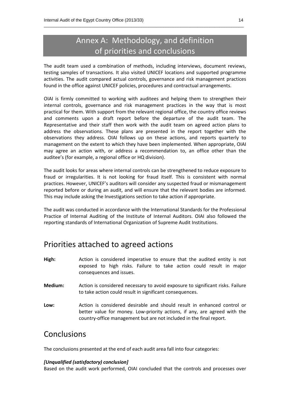# Annex A: Methodology, and definition of priorities and conclusions

\_\_\_\_\_\_\_\_\_\_\_\_\_\_\_\_\_\_\_\_\_\_\_\_\_\_\_\_\_\_\_\_\_\_\_\_\_\_\_\_\_\_\_\_\_\_\_\_\_\_\_\_\_\_\_\_\_\_\_\_\_\_\_\_\_\_\_\_\_\_\_\_\_\_\_\_\_\_\_\_\_\_

The audit team used a combination of methods, including interviews, document reviews, testing samples of transactions. It also visited UNICEF locations and supported programme activities. The audit compared actual controls, governance and risk management practices found in the office against UNICEF policies, procedures and contractual arrangements.

OIAI is firmly committed to working with auditees and helping them to strengthen their internal controls, governance and risk management practices in the way that is most practical for them. With support from the relevant regional office, the country office reviews and comments upon a draft report before the departure of the audit team. The Representative and their staff then work with the audit team on agreed action plans to address the observations. These plans are presented in the report together with the observations they address. OIAI follows up on these actions, and reports quarterly to management on the extent to which they have been implemented. When appropriate, OIAI may agree an action with, or address a recommendation to, an office other than the auditee's (for example, a regional office or HQ division).

The audit looks for areas where internal controls can be strengthened to reduce exposure to fraud or irregularities. It is not looking for fraud itself. This is consistent with normal practices. However, UNICEF's auditors will consider any suspected fraud or mismanagement reported before or during an audit, and will ensure that the relevant bodies are informed. This may include asking the Investigations section to take action if appropriate.

The audit was conducted in accordance with the International Standards for the Professional Practice of Internal Auditing of the Institute of Internal Auditors. OIAI also followed the reporting standards of International Organization of Supreme Audit Institutions.

# Priorities attached to agreed actions

- **High:** Action is considered imperative to ensure that the audited entity is not exposed to high risks. Failure to take action could result in major consequences and issues.
- **Medium:** Action is considered necessary to avoid exposure to significant risks. Failure to take action could result in significant consequences.
- **Low:** Action is considered desirable and should result in enhanced control or better value for money. Low-priority actions, if any, are agreed with the country-office management but are not included in the final report.

# Conclusions

The conclusions presented at the end of each audit area fall into four categories:

# *[Unqualified (satisfactory) conclusion]*

Based on the audit work performed, OIAI concluded that the controls and processes over